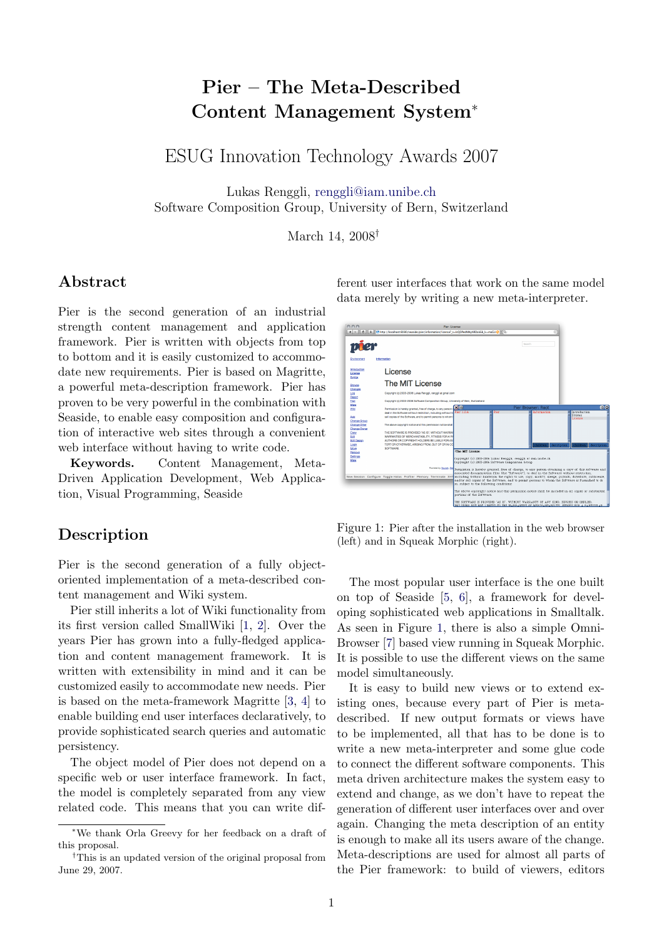# Pier – The Meta-Described Content Management System<sup>∗</sup>

ESUG Innovation Technology Awards 2007

Lukas Renggli, [renggli@iam.unibe.ch](file:renggli@iam.unibe.ch) Software Composition Group, University of Bern, Switzerland

March 14, 2008†

#### Abstract

Pier is the second generation of an industrial strength content management and application framework. Pier is written with objects from top to bottom and it is easily customized to accommodate new requirements. Pier is based on Magritte, a powerful meta-description framework. Pier has proven to be very powerful in the combination with Seaside, to enable easy composition and configuration of interactive web sites through a convenient web interface without having to write code.

Keywords. Content Management, Meta-Driven Application Development, Web Application, Visual Programming, Seaside

## Description

Pier is the second generation of a fully objectoriented implementation of a meta-described content management and Wiki system.

Pier still inherits a lot of Wiki functionality from its first version called SmallWiki [\[1,](#page-2-0) [2\]](#page-2-1). Over the years Pier has grown into a fully-fledged application and content management framework. It is written with extensibility in mind and it can be customized easily to accommodate new needs. Pier is based on the meta-framework Magritte [\[3,](#page-2-2) [4\]](#page-2-3) to enable building end user interfaces declaratively, to provide sophisticated search queries and automatic persistency.

The object model of Pier does not depend on a specific web or user interface framework. In fact, the model is completely separated from any view related code. This means that you can write different user interfaces that work on the same model data merely by writing a new meta-interpreter.



<span id="page-0-0"></span>Figure 1: Pier after the installation in the web browser (left) and in Squeak Morphic (right).

The most popular user interface is the one built on top of Seaside [\[5,](#page-2-4) [6\]](#page-2-5), a framework for developing sophisticated web applications in Smalltalk. As seen in Figure [1,](#page-0-0) there is also a simple Omni-Browser [\[7\]](#page-2-6) based view running in Squeak Morphic. It is possible to use the different views on the same model simultaneously.

It is easy to build new views or to extend existing ones, because every part of Pier is metadescribed. If new output formats or views have to be implemented, all that has to be done is to write a new meta-interpreter and some glue code to connect the different software components. This meta driven architecture makes the system easy to extend and change, as we don't have to repeat the generation of different user interfaces over and over again. Changing the meta description of an entity is enough to make all its users aware of the change. Meta-descriptions are used for almost all parts of the Pier framework: to build of viewers, editors

<sup>∗</sup>We thank Orla Greevy for her feedback on a draft of this proposal.

<sup>†</sup>This is an updated version of the original proposal from June 29, 2007.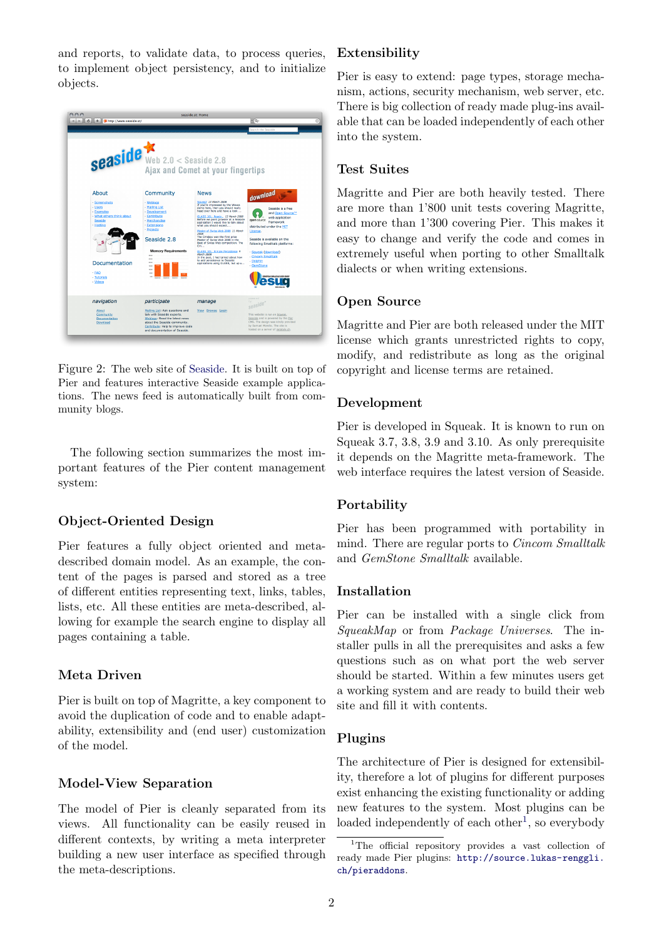and reports, to validate data, to process queries, to implement object persistency, and to initialize objects.



Figure 2: The web site of [Seaside.](http://www.seaside.st) It is built on top of Pier and features interactive Seaside example applications. The news feed is automatically built from community blogs.

The following section summarizes the most important features of the Pier content management system:

## Object-Oriented Design

Pier features a fully object oriented and metadescribed domain model. As an example, the content of the pages is parsed and stored as a tree of different entities representing text, links, tables, lists, etc. All these entities are meta-described, allowing for example the search engine to display all pages containing a table.

#### Meta Driven

Pier is built on top of Magritte, a key component to avoid the duplication of code and to enable adaptability, extensibility and (end user) customization of the model.

#### Model-View Separation

The model of Pier is cleanly separated from its views. All functionality can be easily reused in different contexts, by writing a meta interpreter building a new user interface as specified through the meta-descriptions.

## Extensibility

Pier is easy to extend: page types, storage mechanism, actions, security mechanism, web server, etc. There is big collection of ready made plug-ins available that can be loaded independently of each other into the system.

#### Test Suites

Magritte and Pier are both heavily tested. There are more than 1'800 unit tests covering Magritte, and more than 1'300 covering Pier. This makes it easy to change and verify the code and comes in extremely useful when porting to other Smalltalk dialects or when writing extensions.

#### Open Source

Magritte and Pier are both released under the MIT license which grants unrestricted rights to copy, modify, and redistribute as long as the original copyright and license terms are retained.

#### Development

Pier is developed in Squeak. It is known to run on Squeak 3.7, 3.8, 3.9 and 3.10. As only prerequisite it depends on the Magritte meta-framework. The web interface requires the latest version of Seaside.

#### Portability

Pier has been programmed with portability in mind. There are regular ports to Cincom Smalltalk and GemStone Smalltalk available.

#### Installation

Pier can be installed with a single click from SqueakMap or from Package Universes. The installer pulls in all the prerequisites and asks a few questions such as on what port the web server should be started. Within a few minutes users get a working system and are ready to build their web site and fill it with contents.

#### Plugins

The architecture of Pier is designed for extensibility, therefore a lot of plugins for different purposes exist enhancing the existing functionality or adding new features to the system. Most plugins can be loaded independently of each other<sup>[1](#page-1-0)</sup>, so everybody

<span id="page-1-0"></span><sup>&</sup>lt;sup>1</sup>The official repository provides a vast collection of ready made Pier plugins: [http://source.lukas-renggli.](http://source.lukas-renggli.ch/pieraddons) [ch/pieraddons](http://source.lukas-renggli.ch/pieraddons).